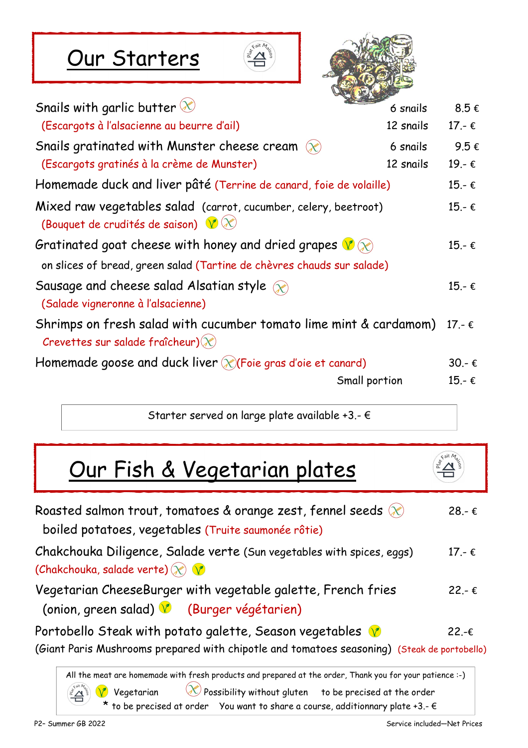### Our Starters





| Snails with garlic butter $\otimes$                                                                              | 6 snails      | 8.5€             |
|------------------------------------------------------------------------------------------------------------------|---------------|------------------|
| (Escargots à l'alsacienne au beurre d'ail)                                                                       | 12 snails     | 17.- €           |
| Snails gratinated with Munster cheese cream $\infty$                                                             | 6 snails      | 9.5€             |
| (Escargots gratinés à la crème de Munster)                                                                       | 12 snails     | 19.-€            |
| Homemade duck and liver pâté (Terrine de canard, foie de volaille)                                               |               | $15.-€$          |
| Mixed raw vegetables salad (carrot, cucumber, celery, beetroot)<br>(Bouquet de crudités de saison) $\sqrt{\chi}$ |               | $15.-€$          |
| Gratinated goat cheese with honey and dried grapes $\sqrt[n]{\infty}$                                            |               | $15.-€$          |
| on slices of bread, green salad (Tartine de chèvres chauds sur salade)                                           |               |                  |
| Sausage and cheese salad Alsatian style<br>(Salade vigneronne à l'alsacienne)                                    |               | $15 - \epsilon$  |
| Shrimps on fresh salad with cucumber tomato lime mint & cardamom)<br>Crevettes sur salade fraîcheur) $(x)$       |               | $17. - \epsilon$ |
| Homemade goose and duck liver $(x)$ (Foie gras d'oie et canard)                                                  |               | $30 - \epsilon$  |
|                                                                                                                  | Small portion | 15.- €           |
|                                                                                                                  |               |                  |

Starter served on large plate available +3.- €

### Our Fish & Vegetarian plates

| Roasted salmon trout, tomatoes & orange zest, fennel seeds $(x)$<br>boiled potatoes, vegetables (Truite saumonée rôtie)                                | $28 - \epsilon$ |
|--------------------------------------------------------------------------------------------------------------------------------------------------------|-----------------|
| Chakchouka Diligence, Salade verte (Sun vegetables with spices, eggs)<br>(Chakchouka, salade verte) $\mathcal{R}$ $\mathbf{V}$                         | $17 - \epsilon$ |
| Vegetarian CheeseBurger with vegetable galette, French fries<br>(onion, green salad) V (Burger végétarien)                                             | $22 - \epsilon$ |
| Portobello Steak with potato galette, Season vegetables<br>(Giant Paris Mushrooms prepared with chipotle and tomatoes seasoning) (Steak de portobello) | $22 - \epsilon$ |
| All the meat are homemade with fresh products and prepared at the order, Thank you for your patience :-)                                               |                 |

 $\bigvee$  Vegetarian  $\bigotimes$  Possibility without gluten  $\;\;$  to be precised at the order \* to be precised at order You want to share a course, additionnary plate +3.-  $\epsilon$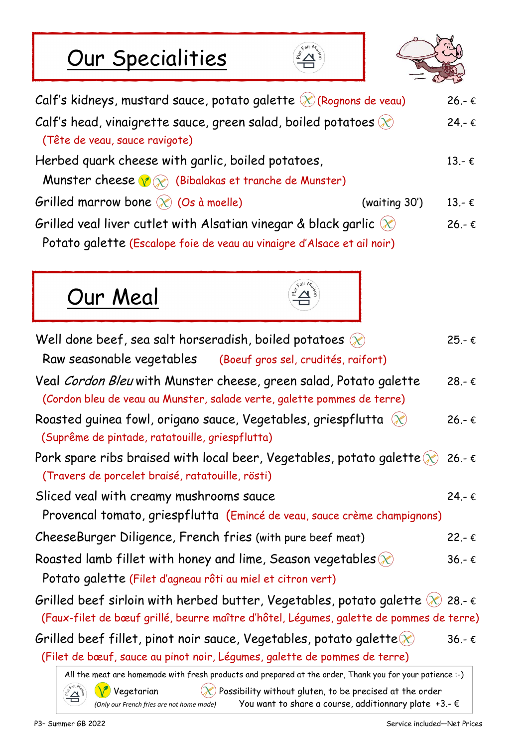# Our Specialities





| Calf's kidneys, mustard sauce, potato galette $\mathcal{X}$ (Rognons de veau)                                                                   |               | $26 - \epsilon$ |
|-------------------------------------------------------------------------------------------------------------------------------------------------|---------------|-----------------|
| Calf's head, vinaigrette sauce, green salad, boiled potatoes $\chi$<br>(Tête de veau, sauce ravigote)                                           |               | $24 - \epsilon$ |
| Herbed quark cheese with garlic, boiled potatoes,<br>Munster cheese $\bigcirc \otimes$ (Bibalakas et tranche de Munster)                        |               | $13.-€$         |
| Grilled marrow bone $\mathcal{R}$ (Os à moelle)                                                                                                 | (waiting 30') | $13 - \epsilon$ |
| Grilled veal liver cutlet with Alsatian vinegar & black garlic $(x)$<br>Potato galette (Escalope foie de veau au vinaigre d'Alsace et ail noir) |               | $26 - \epsilon$ |





| Well done beef, sea salt horseradish, boiled potatoes $\infty$                                                                                                                                                                                       | $25 - \epsilon$ |
|------------------------------------------------------------------------------------------------------------------------------------------------------------------------------------------------------------------------------------------------------|-----------------|
| Raw seasonable vegetables (Boeuf gros sel, crudités, raifort)                                                                                                                                                                                        |                 |
| Veal Cordon Bleu with Munster cheese, green salad, Potato galette<br>(Cordon bleu de veau au Munster, salade verte, galette pommes de terre)                                                                                                         | $28 - \epsilon$ |
| Roasted guinea fowl, origano sauce, Vegetables, griespflutta $\chi$<br>(Suprême de pintade, ratatouille, griespflutta)                                                                                                                               | $26 - \epsilon$ |
| Pork spare ribs braised with local beer, Vegetables, potato galette $(x)$ 26.- $\epsilon$<br>(Travers de porcelet braisé, ratatouille, rösti)                                                                                                        |                 |
| Sliced veal with creamy mushrooms sauce                                                                                                                                                                                                              | $24 - \epsilon$ |
| Provencal tomato, griespflutta (Emincé de veau, sauce crème champignons)                                                                                                                                                                             |                 |
| CheeseBurger Diligence, French fries (with pure beef meat)                                                                                                                                                                                           | $22 - \epsilon$ |
| Roasted lamb fillet with honey and lime, Season vegetables $\mathcal{R}$                                                                                                                                                                             | $36 - \epsilon$ |
| Potato galette (Filet d'agneau rôti au miel et citron vert)                                                                                                                                                                                          |                 |
| Grilled beef sirloin with herbed butter, Vegetables, potato galette $\gg$ 28.- $\epsilon$<br>(Faux-filet de bœuf grillé, beurre maître d'hôtel, Légumes, galette de pommes de terre)                                                                 |                 |
| Grilled beef fillet, pinot noir sauce, Vegetables, potato galette $\chi$                                                                                                                                                                             | $36 - \epsilon$ |
| (Filet de bœuf, sauce au pinot noir, Légumes, galette de pommes de terre)                                                                                                                                                                            |                 |
| All the meat are homemade with fresh products and prepared at the order, Thank you for your patience :-)<br>$\sim$ $\sim$<br>$4$ sit $M$<br>$\wedge$ and $\wedge$<br>the contract of the contract of the contract of the contract of the contract of |                 |

 $\mathbb{P}^{2n\mathbb{Z}\choose 2}$   $\mathbb{V}$  Vegetarian  $\mathbb{X}$  Possibility without gluten, to be precised at the order *(Only our French fries are not home made)* You want to share a course, additionnary plate +3.- €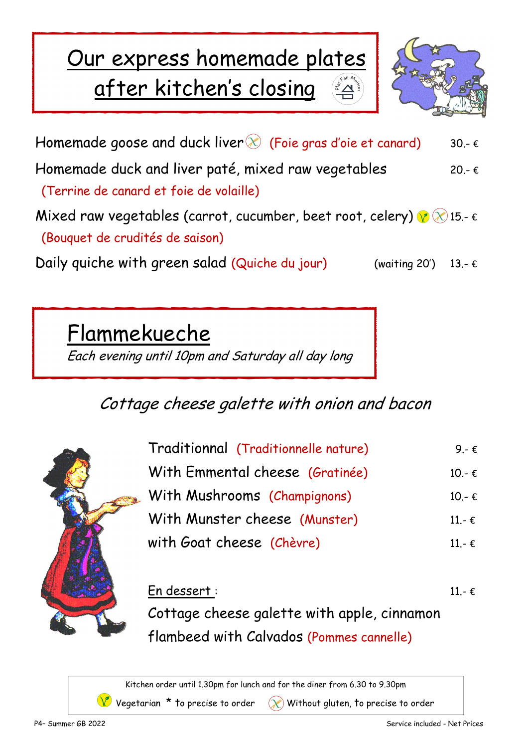## Our express homemade plates after kitchen's closing



Homemade goose and duck liver  $\mathcal X$  (Foie gras d'oie et canard) 30.-  $\epsilon$ Homemade duck and liver paté, mixed raw vegetables  $20. - \epsilon$  (Terrine de canard et foie de volaille) Mixed raw vegetables (carrot, cucumber, beet root, celery)  $\sqrt{\gamma}$  (2) 15.-  $\epsilon$  (Bouquet de crudités de saison) Daily quiche with green salad (Quiche du jour) (waiting 20') 13.-  $\epsilon$ 

Flammekueche

Each evening until 10pm and Saturday all day long

#### Cottage cheese galette with onion and bacon



| Traditionnal (Traditionnelle nature) | 9 - $\epsilon$  |
|--------------------------------------|-----------------|
| With Emmental cheese (Gratinée)      | $10.-€$         |
| With Mushrooms (Champignons)         | $10 - \epsilon$ |
| With Munster cheese (Munster)        | $11 - \epsilon$ |
| with Goat cheese (Chèvre)            | $11 - \epsilon$ |

#### En dessert : 11.- € Cottage cheese galette with apple, cinnamon flambeed with Calvados (Pommes cannelle)

Kitchen order until 1.30pm for lunch and for the diner from 6.30 to 9.30pm

V Vegetarian \* to precise to order  $\circledX$  Without gluten, to precise to order